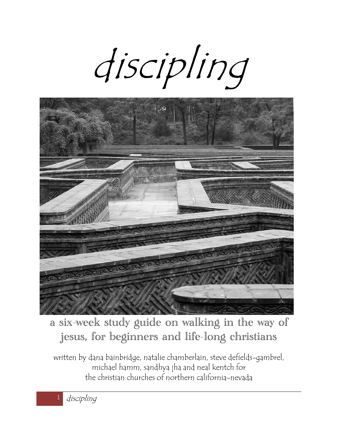discipling



# a six-week study guide on walking in the way of jesus, for beginners and life-long christians

written by dana bainbridge, natalie chamberlain, steve defields-gambrel, michael hamm, sandhya jha and neal kentch for the christian churches of northern california-nevada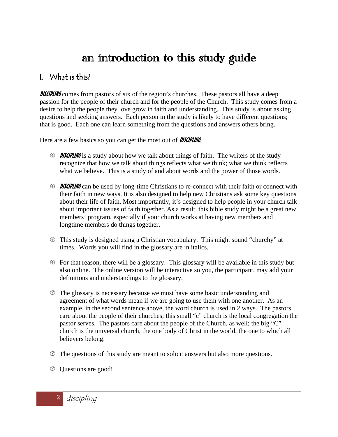# an introduction to this study guide

# I. What is this?

**DISCIPLING** comes from pastors of six of the region's churches. These pastors all have a deep passion for the people of their church and for the people of the Church. This study comes from a desire to help the people they love grow in faith and understanding. This study is about asking questions and seeking answers. Each person in the study is likely to have different questions; that is good. Each one can learn something from the questions and answers others bring.

Here are a few basics so you can get the most out of **DISCIPLING**.

- **DISCIPLING** is a study about how we talk about things of faith. The writers of the study recognize that how we talk about things reflects what we think; what we think reflects what we believe. This is a study of and about words and the power of those words.
- **DISCIPLING** can be used by long-time Christians to re-connect with their faith or connect with their faith in new ways. It is also designed to help new Christians ask some key questions about their life of faith. Most importantly, it's designed to help people in your church talk about important issues of faith together. As a result, this bible study might be a great new members' program, especially if your church works at having new members and longtime members do things together.
- This study is designed using a Christian vocabulary. This might sound "churchy" at times. Words you will find in the glossary are in italics.
- For that reason, there will be a glossary. This glossary will be available in this study but also online. The online version will be interactive so you, the participant, may add your definitions and understandings to the glossary.
- The glossary is necessary because we must have some basic understanding and agreement of what words mean if we are going to use them with one another. As an example, in the second sentence above, the word church is used in 2 ways. The pastors care about the people of their churches; this small "c" church is the local congregation the pastor serves. The pastors care about the people of the Church, as well; the big "C" church is the universal church, the one body of Christ in the world, the one to which all believers belong.
- The questions of this study are meant to solicit answers but also more questions.
- Questions are good!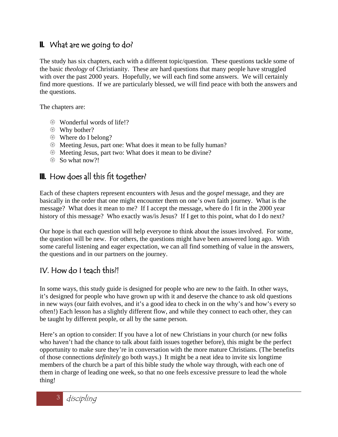# II. What are we going to do?

The study has six chapters, each with a different topic/question. These questions tackle some of the basic *theology* of Christianity. These are hard questions that many people have struggled with over the past 2000 years. Hopefully, we will each find some answers. We will certainly find more questions. If we are particularly blessed, we will find peace with both the answers and the questions.

The chapters are:

- Wonderful words of life!?
- Why bother?
- Where do I belong?
- Meeting Jesus, part one: What does it mean to be fully human?
- Meeting Jesus, part two: What does it mean to be divine?
- $\circledR$  So what now?!

# III. How does all this fit together?

Each of these chapters represent encounters with Jesus and the *gospel* message, and they are basically in the order that one might encounter them on one's own faith journey. What is the message? What does it mean to me? If I accept the message, where do I fit in the 2000 year history of this message? Who exactly was/is Jesus? If I get to this point, what do I do next?

Our hope is that each question will help everyone to think about the issues involved. For some, the question will be new. For others, the questions might have been answered long ago. With some careful listening and eager expectation, we can all find something of value in the answers, the questions and in our partners on the journey.

# IV. How do I teach this?!

In some ways, this study guide is designed for people who are new to the faith. In other ways, it's designed for people who have grown up with it and deserve the chance to ask old questions in new ways (our faith evolves, and it's a good idea to check in on the why's and how's every so often!) Each lesson has a slightly different flow, and while they connect to each other, they can be taught by different people, or all by the same person.

Here's an option to consider: If you have a lot of new Christians in your church (or new folks who haven't had the chance to talk about faith issues together before), this might be the perfect opportunity to make sure they're in conversation with the more mature Christians. (The benefits of those connections *definitely* go both ways.) It might be a neat idea to invite six longtime members of the church be a part of this bible study the whole way through, with each one of them in charge of leading one week, so that no one feels excessive pressure to lead the whole thing!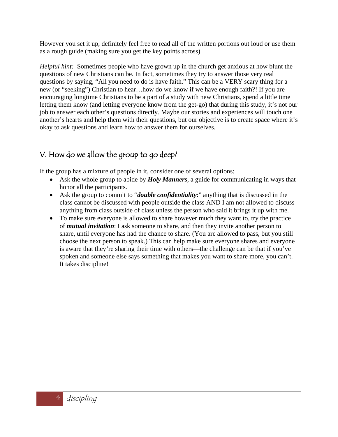However you set it up, definitely feel free to read all of the written portions out loud or use them as a rough guide (making sure you get the key points across).

*Helpful hint:* Sometimes people who have grown up in the church get anxious at how blunt the questions of new Christians can be. In fact, sometimes they try to answer those very real questions by saying, "All you need to do is have faith." This can be a VERY scary thing for a new (or "seeking") Christian to hear…how do we know if we have enough faith?! If you are encouraging longtime Christians to be a part of a study with new Christians, spend a little time letting them know (and letting everyone know from the get-go) that during this study, it's not our job to answer each other's questions directly. Maybe our stories and experiences will touch one another's hearts and help them with their questions, but our objective is to create space where it's okay to ask questions and learn how to answer them for ourselves.

# V. How do we allow the group to go deep?

If the group has a mixture of people in it, consider one of several options:

- Ask the whole group to abide by *Holy Manners*, a guide for communicating in ways that honor all the participants.
- Ask the group to commit to "*double confidentiality*:" anything that is discussed in the class cannot be discussed with people outside the class AND I am not allowed to discuss anything from class outside of class unless the person who said it brings it up with me.
- To make sure everyone is allowed to share however much they want to, try the practice of *mutual invitation*: I ask someone to share, and then they invite another person to share, until everyone has had the chance to share. (You are allowed to pass, but you still choose the next person to speak.) This can help make sure everyone shares and everyone is aware that they're sharing their time with others—the challenge can be that if you've spoken and someone else says something that makes you want to share more, you can't. It takes discipline!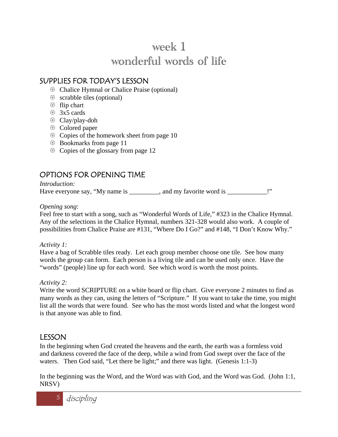# week 1 wonderful words of life

# SUPPLIES FOR TODAY'S LESSON

- **EX** Chalice Hymnal or Chalice Praise (optional)
- $\circledR$  scrabble tiles (optional)
- $\circledcirc$  flip chart
- <sup>3x5</sup> cards
- Clay/play-doh
- <sup>
®</sup> Colored paper
- Copies of the homework sheet from page 10
- **Bookmarks from page 11**
- Copies of the glossary from page 12

# OPTIONS FOR OPENING TIME

*Introduction:* Have everyone say, "My name is \_\_\_\_\_\_\_, and my favorite word is \_\_\_\_\_\_\_\_\_\_\_!"

#### *Opening song*:

Feel free to start with a song, such as "Wonderful Words of Life," #323 in the Chalice Hymnal. Any of the selections in the Chalice Hymnal, numbers 321-328 would also work. A couple of possibilities from Chalice Praise are #131, "Where Do I Go?" and #148, "I Don't Know Why."

#### *Activity 1:*

Have a bag of Scrabble tiles ready. Let each group member choose one tile. See how many words the group can form. Each person is a living tile and can be used only once. Have the "words" (people) line up for each word. See which word is worth the most points.

#### *Activity 2:*

Write the word SCRIPTURE on a white board or flip chart. Give everyone 2 minutes to find as many words as they can, using the letters of "Scripture." If you want to take the time, you might list all the words that were found. See who has the most words listed and what the longest word is that anyone was able to find.

# LESSON

In the beginning when God created the heavens and the earth, the earth was a formless void and darkness covered the face of the deep, while a wind from God swept over the face of the waters. Then God said, "Let there be light;" and there was light. (Genesis 1:1-3)

In the beginning was the Word, and the Word was with God, and the Word was God. (John 1:1, NRSV)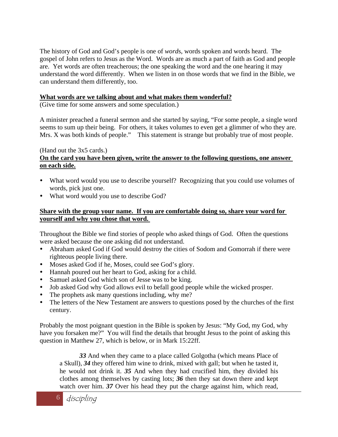The history of God and God's people is one of *word*s, words spoken and words heard. The gospel of John refers to Jesus as the Word. Words are as much a part of faith as God and people are. Yet words are often treacherous; the one speaking the word and the one hearing it may understand the word differently. When we listen in on those words that we find in the Bible, we can understand them differently, too.

#### **What words are we talking about and what makes them wonderful?**

(Give time for some answers and some speculation.)

A minister preached a funeral sermon and she started by saying, "For some people, a single word seems to sum up their being. For others, it takes volumes to even get a glimmer of who they are. Mrs. X was both kinds of people." This statement is strange but probably true of most people.

#### (Hand out the 3x5 cards.) **On the card you have been given, write the answer to the following questions, one answer on each side.**

- What word would you use to describe yourself? Recognizing that you could use volumes of words, pick just one.
- What word would you use to describe God?

#### **Share with the group your name. If you are comfortable doing so, share your word for yourself and why you chose that word.**

Throughout the Bible we find stories of people who asked things of God. Often the questions were asked because the one asking did not understand.

- Abraham asked God if God would destroy the cities of Sodom and Gomorrah if there were righteous people living there.
- Moses asked God if he, Moses, could see God's glory.
- Hannah poured out her heart to God, asking for a child.
- Samuel asked God which son of Jesse was to be king.
- Job asked God why God allows evil to befall good people while the wicked prosper.
- The prophets ask many questions including, why me?
- The letters of the New Testament are answers to questions posed by the churches of the first century.

Probably the most poignant question in the Bible is spoken by Jesus: "My God, my God, why have you forsaken me?" You will find the details that brought Jesus to the point of asking this question in Matthew 27, which is below, or in Mark 15:22ff.

*33* And when they came to a place called Golgotha (which means Place of a Skull), *34* they offered him wine to drink, mixed with gall; but when he tasted it, he would not drink it. *35* And when they had crucified him, they divided his clothes among themselves by casting lots; *36* then they sat down there and kept watch over him. 37 Over his head they put the charge against him, which read,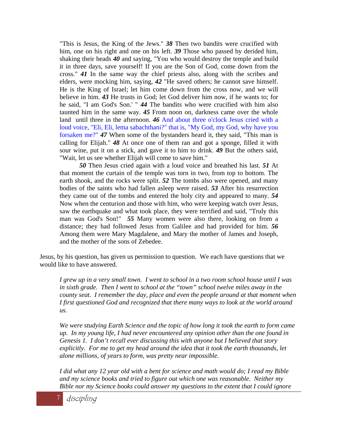"This is Jesus, the King of the Jews." *38* Then two bandits were crucified with him, one on his right and one on his left. *39* Those who passed by derided him, shaking their heads *40* and saying, "You who would destroy the temple and build it in three days, save yourself! If you are the Son of God, come down from the cross." *41* In the same way the chief priests also, along with the scribes and elders, were mocking him, saying, *42* "He saved others; he cannot save himself. He is the King of Israel; let him come down from the cross now, and we will believe in him. *43* He trusts in God; let God deliver him now, if he wants to; for he said, "I am God's Son.' " *44* The bandits who were crucified with him also taunted him in the same way. *45* From noon on, darkness came over the whole land until three in the afternoon. *46* And about three o'clock Jesus cried with a loud voice, "Eli, Eli, lema sabachthani?" that is, "My God, my God, why have you forsaken me?" *47* When some of the bystanders heard it, they said, "This man is calling for Elijah." *48* At once one of them ran and got a sponge, filled it with sour wine, put it on a stick, and gave it to him to drink. *49* But the others said, "Wait, let us see whether Elijah will come to save him."

*50* Then Jesus cried again with a loud voice and breathed his last. *51* At that moment the curtain of the temple was torn in two, from top to bottom. The earth shook, and the rocks were split. *52* The tombs also were opened, and many bodies of the saints who had fallen asleep were raised. *53* After his resurrection they came out of the tombs and entered the holy city and appeared to many. *54* Now when the centurion and those with him, who were keeping watch over Jesus, saw the earthquake and what took place, they were terrified and said, "Truly this man was God's Son!" *55* Many women were also there, looking on from a distance; they had followed Jesus from Galilee and had provided for him. *56* Among them were Mary Magdalene, and Mary the mother of James and Joseph, and the mother of the sons of Zebedee.

Jesus, by his question, has given us permission to question. We each have questions that we would like to have answered.

*I grew up in a very small town. I went to school in a two room school house until I was in sixth grade. Then I went to school at the "town" school twelve miles away in the county seat. I remember the day, place and even the people around at that moment when I first questioned God and recognized that there many ways to look at the world around us.*

*We were studying Earth Science and the topic of how long it took the earth to form came up. In my young life, I had never encountered any opinion other than the one found in Genesis 1. I don't recall ever discussing this with anyone but I believed that story explicitly. For me to get my head around the idea that it took the earth thousands, let alone millions, of years to form, was pretty near impossible.*

*I did what any 12 year old with a bent for science and math would do; I read my Bible and my science books and tried to figure out which one was reasonable. Neither my Bible nor my Science books could answer my questions to the extent that I could ignore*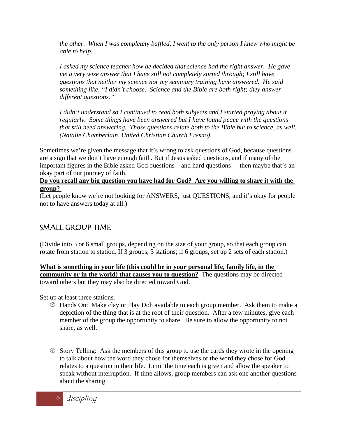*the other. When I was completely baffled, I went to the only person I knew who might be able to help.* 

*I asked my science teacher how he decided that science had the right answer. He gave me a very wise answer that I have still not completely sorted through; I still have questions that neither my science nor my seminary training have answered. He said something like, "I didn't choose. Science and the Bible are both right; they answer different questions."*

*I didn't understand so I continued to read both subjects and I started praying about it regularly. Some things have been answered but I have found peace with the questions that still need answering. Those questions relate both to the Bible but to science, as well. (Natalie Chamberlain, United Christian Church Fresno)*

Sometimes we're given the message that it's wrong to ask questions of God, because questions are a sign that we don't have enough faith. But if Jesus asked questions, and if many of the important figures in the Bible asked God questions—and hard questions!—then maybe that's an okay part of our journey of faith.

#### **Do you recall any big question you have had for God? Are you willing to share it with the group?**

(Let people know we're not looking for ANSWERS, just QUESTIONS, and it's okay for people not to have answers today at all.)

# SMALL GROUP TIME

(Divide into 3 or 6 small groups, depending on the size of your group, so that each group can rotate from station to station. If 3 groups, 3 stations; if 6 groups, set up 2 sets of each station.)

**What is something in your life (this could be in your personal life, family life, in the community or in the world) that causes you to question?** The questions may be directed toward others but they may also be directed toward God.

Set up at least three stations.

- **Example 3** Hands On: Make clay or Play Doh available to each group member. Ask them to make a depiction of the thing that is at the root of their question. After a few minutes, give each member of the group the opportunity to share. Be sure to allow the opportunity to not share, as well.
- **Story Telling:** Ask the members of this group to use the cards they wrote in the opening to talk about how the word they chose for themselves or the word they chose for God relates to a question in their life. Limit the time each is given and allow the speaker to speak without interruption. If time allows, group members can ask one another questions about the sharing.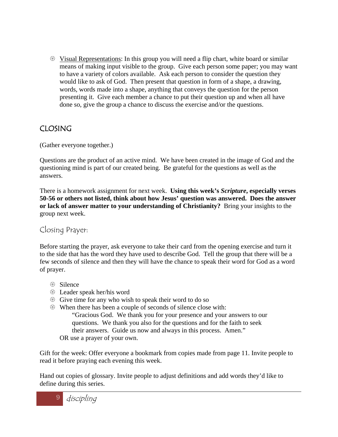**EXIMIO EXTERCH EXECUTE:** In this group you will need a flip chart, white board or similar means of making input visible to the group. Give each person some paper; you may want to have a variety of colors available. Ask each person to consider the question they would like to ask of God. Then present that question in form of a shape, a drawing, words, words made into a shape, anything that conveys the question for the person presenting it. Give each member a chance to put their question up and when all have done so, give the group a chance to discuss the exercise and/or the questions.

# CLOSING

(Gather everyone together.)

Questions are the product of an active mind. We have been created in the image of God and the questioning mind is part of our created being. Be grateful for the questions as well as the answers.

There is a homework assignment for next week. **Using this week's** *Scripture***, especially verses 50-56 or others not listed, think about how Jesus' question was answered. Does the answer or lack of answer matter to your understanding of Christianity?** Bring your insights to the group next week.

# Closing Prayer:

Before starting the prayer, ask everyone to take their card from the opening exercise and turn it to the side that has the word they have used to describe God. Tell the group that there will be a few seconds of silence and then they will have the chance to speak their word for God as a word of prayer.

- **Silence**
- Leader speak her/his word
- Give time for any who wish to speak their word to do so
- When there has been a couple of seconds of silence close with:

"Gracious God. We thank you for your presence and your answers to our questions. We thank you also for the questions and for the faith to seek their answers. Guide us now and always in this process. Amen."

OR use a prayer of your own.

Gift for the week: Offer everyone a bookmark from copies made from page 11. Invite people to read it before praying each evening this week.

Hand out copies of glossary. Invite people to adjust definitions and add words they'd like to define during this series.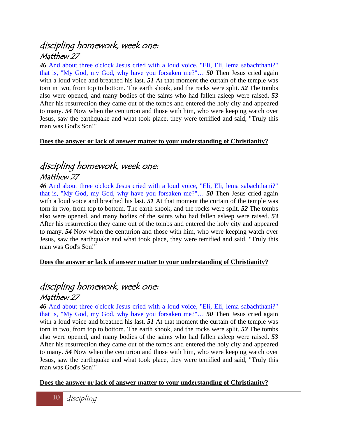# discipling homework, week one: Matthew 27

*46* And about three o'clock Jesus cried with a loud voice, "Eli, Eli, lema sabachthani?" that is, "My God, my God, why have you forsaken me?"… *50* Then Jesus cried again with a loud voice and breathed his last. *51* At that moment the curtain of the temple was torn in two, from top to bottom. The earth shook, and the rocks were split. *52* The tombs also were opened, and many bodies of the saints who had fallen asleep were raised. *53* After his resurrection they came out of the tombs and entered the holy city and appeared to many. *54* Now when the centurion and those with him, who were keeping watch over Jesus, saw the earthquake and what took place, they were terrified and said, "Truly this man was God's Son!"

#### **Does the answer or lack of answer matter to your understanding of Christianity?**

# discipling homework, week one: Matthew 27

*46* And about three o'clock Jesus cried with a loud voice, "Eli, Eli, lema sabachthani?" that is, "My God, my God, why have you forsaken me?"… *50* Then Jesus cried again with a loud voice and breathed his last. *51* At that moment the curtain of the temple was torn in two, from top to bottom. The earth shook, and the rocks were split. *52* The tombs also were opened, and many bodies of the saints who had fallen asleep were raised. *53* After his resurrection they came out of the tombs and entered the holy city and appeared to many. *54* Now when the centurion and those with him, who were keeping watch over Jesus, saw the earthquake and what took place, they were terrified and said, "Truly this man was God's Son!"

#### **Does the answer or lack of answer matter to your understanding of Christianity?**

# discipling homework, week one: Matthew 27

*46* And about three o'clock Jesus cried with a loud voice, "Eli, Eli, lema sabachthani?" that is, "My God, my God, why have you forsaken me?"… *50* Then Jesus cried again with a loud voice and breathed his last. *51* At that moment the curtain of the temple was torn in two, from top to bottom. The earth shook, and the rocks were split. *52* The tombs also were opened, and many bodies of the saints who had fallen asleep were raised. *53* After his resurrection they came out of the tombs and entered the holy city and appeared to many. *54* Now when the centurion and those with him, who were keeping watch over Jesus, saw the earthquake and what took place, they were terrified and said, "Truly this man was God's Son!"

#### **Does the answer or lack of answer matter to your understanding of Christianity?**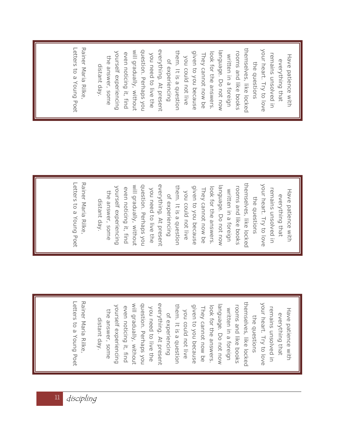Letters to a Young Poet *Letters to a Young Poet* Rainer Maria Rilke *Rainer Maria Rilke,*  themselves, like lockec themselves, like locked will gradually, without question. everything. At present your heart. Try to love your heart. Try to love will gradually, without everything. At present language. Do not now yourself experiencing them. It is a question given to you because language. Do not now rooms and like books yourself experiencing even noticing it, find you need to live the them. It is a question given to you because look for the answers. rooms and like books They cannot now be look for the answers. remains unsolved in even noticing it, find They cannot now be written in a foreign you need to live the remains unsolved in Have patience with written in a foreign the answer, some you could not live Have patience with the answer, some you could not live of experiencing everything that of experiencing everything that the questions the questions distant day. distant day. Perhaps you

> Letters to a Young Poet *Letters to a Young Poet* Rainer Maria Rilke, *Rainer Maria Rilke,*  themselves, like locked themselves, like locked will gradually, without question. Perhaps you everything. At present your heart. Try to love your heart. Try to love will gradually, without question. Perhaps you everything. At present given to you because language. Do not now yourself experiencing yourself experiencing even noticing it, find them. It is a question them. It is a question look for the answers language. Do not now rooms and like books given to you because look for the answers. rooms and like books even noticing it, find you need to live the They cannot now be you need to live the They cannot now be written in a foreign remains unsolved in remains unsolved in Have patience with written in a foreign you could not live Have patience with the answer, some the answer, some you could not live of experiencing everything that of experiencing everything that the questions the questions distant day. distant day.

Letters to a Young Poet *Letters to a Young Poet Rainer Maria Rilke,* Rainer Maria Rilke themselves, like locked everything. At present themselves, like lockec your heart. Try to love your heart. Try to love yourself experiencing will gradually, without will gradually, without question. Perhaps you question. Perhaps you everything. At present given to you because language. Do not now them. It is a question language. Do not now yourself experiencing even noticing it, find them. It is a question given to you because look for the answers rooms and like books rooms and like books even noticing it, find you need to live the They cannot now be look for the answers. remains unsolved in you need to live the They cannot now be written in a foreign remains unsolved in Have patience with written in a foreign Have patience with the answer, some you could not live the answer, some you could not live of experiencing everything that of experiencing everything that the questions the questions distant day. distant day.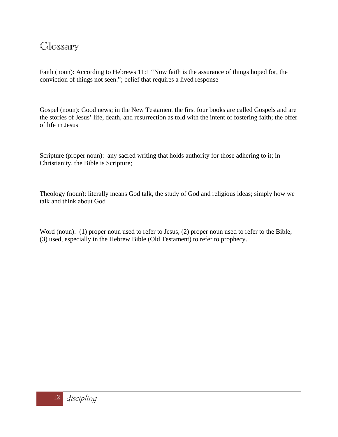# Glossary

Faith (noun): According to Hebrews 11:1 "Now faith is the assurance of things hoped for, the conviction of things not seen."; belief that requires a lived response

Gospel (noun): Good news; in the New Testament the first four books are called Gospels and are the stories of Jesus' life, death, and resurrection as told with the intent of fostering faith; the offer of life in Jesus

Scripture (proper noun): any sacred writing that holds authority for those adhering to it; in Christianity, the Bible is Scripture;

Theology (noun): literally means God talk, the study of God and religious ideas; simply how we talk and think about God

Word (noun): (1) proper noun used to refer to Jesus, (2) proper noun used to refer to the Bible, (3) used, especially in the Hebrew Bible (Old Testament) to refer to prophecy.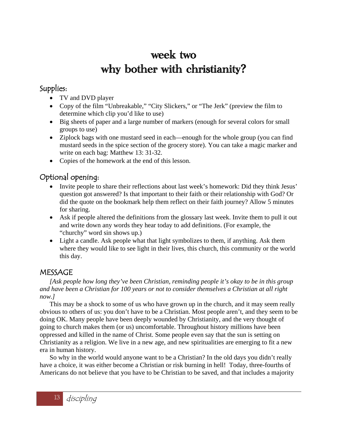# week two why bother with christianity?

# Supplies:

- TV and DVD player
- Copy of the film "Unbreakable," "City Slickers," or "The Jerk" (preview the film to determine which clip you'd like to use)
- Big sheets of paper and a large number of markers (enough for several colors for small groups to use)
- Ziplock bags with one mustard seed in each—enough for the whole group (you can find mustard seeds in the spice section of the grocery store). You can take a magic marker and write on each bag: Matthew 13: 31-32.
- Copies of the homework at the end of this lesson.

# Optional opening:

- Invite people to share their reflections about last week's homework: Did they think Jesus' question got answered? Is that important to their faith or their relationship with God? Or did the quote on the bookmark help them reflect on their faith journey? Allow 5 minutes for sharing.
- Ask if people altered the definitions from the glossary last week. Invite them to pull it out and write down any words they hear today to add definitions. (For example, the "churchy" word sin shows up.)
- Light a candle. Ask people what that light symbolizes to them, if anything. Ask them where they would like to see light in their lives, this church, this community or the world this day.

# **MESSAGE**

*[Ask people how long they've been Christian, reminding people it's okay to be in this group and have been a Christian for 100 years or not to consider themselves a Christian at all right now.]*

This may be a shock to some of us who have grown up in the church, and it may seem really obvious to others of us: you don't have to be a Christian. Most people aren't, and they seem to be doing OK. Many people have been deeply wounded by Christianity, and the very thought of going to church makes them (or us) uncomfortable. Throughout history millions have been oppressed and killed in the name of Christ. Some people even say that the sun is setting on Christianity as a religion. We live in a new age, and new spiritualities are emerging to fit a new era in human history.

So why in the world would anyone want to be a Christian? In the old days you didn't really have a choice, it was either become a Christian or risk burning in hell! Today, three-fourths of Americans do not believe that you have to be Christian to be saved, and that includes a majority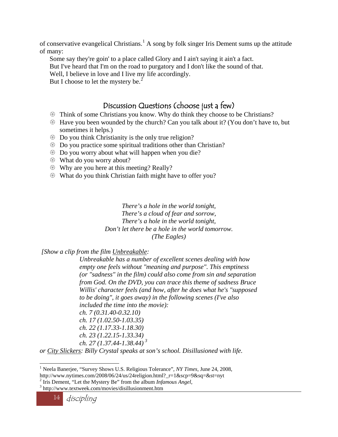of conservative evangelical Christians.<sup>[1](#page-13-0)</sup> A song by folk singer Iris Dement sums up the attitude of many:

But I choose to let the mystery be. $2^2$  $2^2$ Some say they're goin' to a place called Glory and I ain't saying it ain't a fact. But I've heard that I'm on the road to purgatory and I don't like the sound of that. Well, I believe in love and I live my life accordingly.

# Discussion Questions (choose just a few)

- Think of some Christians you know. Why do think they choose to be Christians?
- Have you been wounded by the church? Can you talk about it? (You don't have to, but sometimes it helps.)
- Do you think Christianity is the only true religion?
- Do you practice some spiritual traditions other than Christian?
- Do you worry about what will happen when you die?
- What do you worry about?
- Why are you here at this meeting? Really?
- What do you think Christian faith might have to offer you?

*There's a hole in the world tonight, There's a cloud of fear and sorrow, There's a hole in the world tonight, Don't let there be a hole in the world tomorrow. (The Eagles)*

#### *[Show a clip from the film Unbreakable :*

*Unbreakable has a number of excellent scenes dealing with how empty one feels without "meaning and purpose". This emptiness (or "sadness" in the film) could also come from sin and separation from God. On the DVD, you can trace this theme of sadness Bruce Willis' character feels (and how, after he does what he's "supposed to be doing", it goes away) in the following scenes (I've also included the time into the movie):*

*ch. 7 (0.31.40-0.32.10) ch. 17 (1.02.50-1.03.35)*

*ch. 22 (1.17.33-1.18.30)*

- *ch. 23 (1.22.15-1.33.34)*
- *ch. 27 (1.37.44-1.38.44) [3](#page-13-2)*

*or City Slickers : Billy Crystal speaks at son's school. Disillusioned with life.*

<span id="page-13-0"></span><sup>&</sup>lt;sup>1</sup> Neela Banerjee, "Survey Shows U.S. Religious Tolerance", *NY Times*, June 24, 2008, http://www.nytimes.com/2008/06/24/us/24religion.html?  $r=1$ &scp=9&sq=&st=nyt

<span id="page-13-1"></span><sup>2</sup> Iris Dement, "Let the Mystery Be" from the album *Infamous Angel,* <sup>3</sup> http://www.textweek.com/movies/disillusionment.htm

<span id="page-13-2"></span>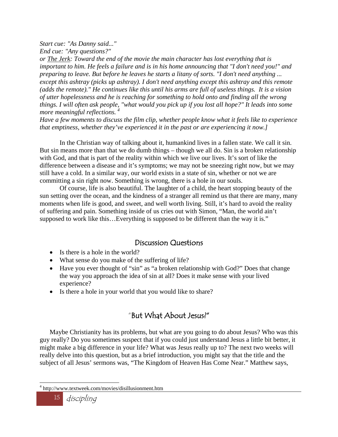*Start cue: "As Danny said..." End cue: "Any questions?"*

*or The Jerk: Toward the end of the movie the main character has lost everything that is important to him. He feels a failure and is in his home announcing that "I don't need you!" and preparing to leave. But before he leaves he starts a litany of sorts. "I don't need anything ... except this ashtray (picks up ashtray). I don't need anything except this ashtray and this remote (adds the remote)." He continues like this until his arms are full of useless things. It is a vision of utter hopelessness and he is reaching for something to hold onto and finding all the wrong things. I will often ask people, "what would you pick up if you lost all hope?" It leads into some more meaningful reflections. [4](#page-14-0)*

*Have a few moments to discuss the film clip, whether people know what it feels like to experience that emptiness, whether they've experienced it in the past or are experiencing it now.]*

In the Christian way of talking about it, humankind lives in a fallen state. We call it sin. But sin means more than that we do dumb things – though we all do. Sin is a broken relationship with God, and that is part of the reality within which we live our lives. It's sort of like the difference between a disease and it's symptoms; we may not be sneezing right now, but we may still have a cold. In a similar way, our world exists in a state of sin, whether or not we are committing a sin right now. Something is wrong, there is a hole in our souls.

Of course, life is also beautiful. The laughter of a child, the heart stopping beauty of the sun setting over the ocean, and the kindness of a stranger all remind us that there are many, many moments when life is good, and sweet, and well worth living. Still, it's hard to avoid the reality of suffering and pain. Something inside of us cries out with Simon, "Man, the world ain't supposed to work like this…Everything is supposed to be different than the way it is."

# Discussion Questions

- Is there is a hole in the world?
- What sense do you make of the suffering of life?
- Have you ever thought of "sin" as "a broken relationship with God?" Does that change the way you approach the idea of sin at all? Does it make sense with your lived experience?
- Is there a hole in your world that you would like to share?

# "But What About Jesus?"

Maybe Christianity has its problems, but what are you going to do about Jesus? Who was this guy really? Do you sometimes suspect that if you could just understand Jesus a little bit better, it might make a big difference in your life? What was Jesus really up to? The next two weeks will really delve into this question, but as a brief introduction, you might say that the title and the subject of all Jesus' sermons was, "The Kingdom of Heaven Has Come Near." Matthew says,

<span id="page-14-0"></span> <sup>4</sup> http://www.textweek.com/movies/disillusionment.htm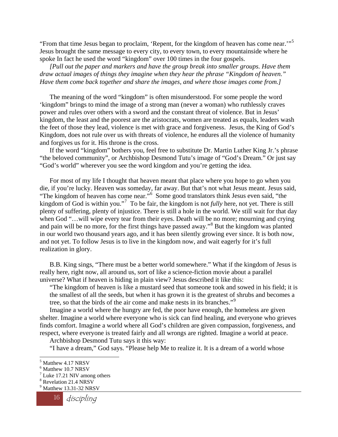"From that time Jesus began to proclaim, 'Repent, for the kingdom of heaven has come near.'"[5](#page-15-0) Jesus brought the same message to every city, to every town, to every mountainside where he spoke In fact he used the word "kingdom" over 100 times in the four gospels.

*[Pull out the paper and markers and have the group break into smaller groups. Have them draw actual images of things they imagine when they hear the phrase "Kingdom of heaven." Have them come back together and share the images, and where those images come from.]*

The meaning of the word "kingdom" is often misunderstood. For some people the word 'kingdom" brings to mind the image of a strong man (never a woman) who ruthlessly craves power and rules over others with a sword and the constant threat of violence. But in Jesus' kingdom, the least and the poorest are the aristocrats, women are treated as equals, leaders wash the feet of those they lead, violence is met with grace and forgiveness. Jesus, the King of God's Kingdom, does not rule over us with threats of violence, he endures all the violence of humanity and forgives us for it. His throne is the cross.

If the word "kingdom" bothers you, feel free to substitute Dr. Martin Luther King Jr.'s phrase "the beloved community", or Archbishop Desmond Tutu's image of "God's Dream." Or just say "God's world" wherever you see the word kingdom and you're getting the idea.

For most of my life I thought that heaven meant that place where you hope to go when you die, if you're lucky. Heaven was someday, far away. But that's not what Jesus meant. Jesus said, "The kingdom of heaven has come near."<sup>[6](#page-15-1)</sup> Some good translators think Jesus even said, "the kingdom of God is within you."[7](#page-15-2) To be fair, the kingdom is not *fully* here, not yet. There is still plenty of suffering, plenty of injustice. There is still a hole in the world. We still wait for that day when God "...will wipe every tear from their eyes. Death will be no more; mourning and crying and pain will be no more, for the first things have passed away."[8](#page-15-3) But the kingdom was planted in our world two thousand years ago, and it has been silently growing ever since. It is both now, and not yet. To follow Jesus is to live in the kingdom now, and wait eagerly for it's full realization in glory.

B.B. King sings, "There must be a better world somewhere." What if the kingdom of Jesus is really here, right now, all around us, sort of like a science-fiction movie about a parallel universe? What if heaven is hiding in plain view? Jesus described it like this:

"The kingdom of heaven is like a mustard seed that someone took and sowed in his field; it is the smallest of all the seeds, but when it has grown it is the greatest of shrubs and becomes a tree, so that the birds of the air come and make nests in its branches."<sup>[9](#page-15-4)</sup>

Imagine a world where the hungry are fed, the poor have enough, the homeless are given shelter. Imagine a world where everyone who is sick can find healing, and everyone who grieves finds comfort. Imagine a world where all God's children are given compassion, forgiveness, and respect, where everyone is treated fairly and all wrongs are righted. Imagine a world at peace.

Archbishop Desmond Tutu says it this way:

"I have a dream," God says. "Please help Me to realize it. It is a dream of a world whose

<span id="page-15-4"></span><sup>&</sup>lt;sup>9</sup> Matthew 13.31-32 NRSV



<span id="page-15-0"></span> <sup>5</sup> Matthew 4.17 NRSV

<span id="page-15-1"></span> $^6$  Matthew 10.7 NRSV

<span id="page-15-2"></span> $7$  Luke 17.21 NIV among others

<span id="page-15-3"></span><sup>8</sup> Revelation 21.4 NRSV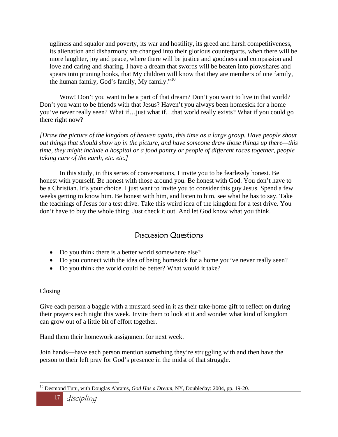ugliness and squalor and poverty, its war and hostility, its greed and harsh competitiveness, its alienation and disharmony are changed into their glorious counterparts, when there will be more laughter, joy and peace, where there will be justice and goodness and compassion and love and caring and sharing. I have a dream that swords will be beaten into plowshares and spears into pruning hooks, that My children will know that they are members of one family, the human family, God's family, My family."<sup>[10](#page-16-0)</sup>

Wow! Don't you want to be a part of that dream? Don't you want to live in that world? Don't you want to be friends with that Jesus? Haven't you always been homesick for a home you've never really seen? What if…just what if…that world really exists? What if you could go there right now?

*[Draw the picture of the kingdom of heaven again, this time as a large group. Have people shout out things that should show up in the picture, and have someone draw those things up there—this time, they might include a hospital or a food pantry or people of different races together, people taking care of the earth, etc. etc.]*

In this study, in this series of conversations, I invite you to be fearlessly honest. Be honest with yourself. Be honest with those around you. Be honest with God. You don't have to be a Christian. It's your choice. I just want to invite you to consider this guy Jesus. Spend a few weeks getting to know him. Be honest with him, and listen to him, see what he has to say. Take the teachings of Jesus for a test drive. Take this weird idea of the kingdom for a test drive. You don't have to buy the whole thing. Just check it out. And let God know what you think.

# Discussion Questions

- Do you think there is a better world somewhere else?
- Do you connect with the idea of being homesick for a home you've never really seen?
- Do you think the world could be better? What would it take?

#### Closing

Give each person a baggie with a mustard seed in it as their take-home gift to reflect on during their prayers each night this week. Invite them to look at it and wonder what kind of kingdom can grow out of a little bit of effort together.

Hand them their homework assignment for next week.

Join hands—have each person mention something they're struggling with and then have the person to their left pray for God's presence in the midst of that struggle.

<span id="page-16-0"></span> <sup>10</sup> Desmond Tutu, with Douglas Abrams, *God Has a Dream*, NY, Doubleday: 2004, pp. 19-20.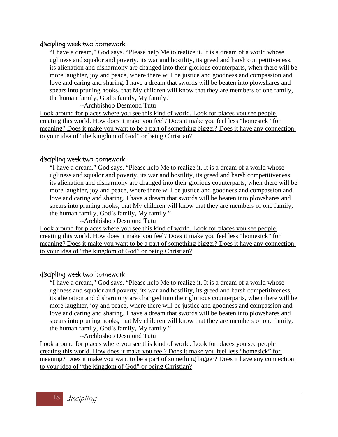### discipling week two homework:

"I have a dream," God says. "Please help Me to realize it. It is a dream of a world whose ugliness and squalor and poverty, its war and hostility, its greed and harsh competitiveness, its alienation and disharmony are changed into their glorious counterparts, when there will be more laughter, joy and peace, where there will be justice and goodness and compassion and love and caring and sharing. I have a dream that swords will be beaten into plowshares and spears into pruning hooks, that My children will know that they are members of one family, the human family, God's family, My family."

--Archbishop Desmond Tutu

Look around for places where you see this kind of world. Look for places you see people creating this world. How does it make you feel? Does it make you feel less "homesick" for meaning? Does it make you want to be a part of something bigger? Does it have any connection to your idea of "the kingdom of God" or being Christian?

## discipling week two homework:

"I have a dream," God says. "Please help Me to realize it. It is a dream of a world whose ugliness and squalor and poverty, its war and hostility, its greed and harsh competitiveness, its alienation and disharmony are changed into their glorious counterparts, when there will be more laughter, joy and peace, where there will be justice and goodness and compassion and love and caring and sharing. I have a dream that swords will be beaten into plowshares and spears into pruning hooks, that My children will know that they are members of one family, the human family, God's family, My family."

--Archbishop Desmond Tutu

Look around for places where you see this kind of world. Look for places you see people creating this world. How does it make you feel? Does it make you feel less "homesick" for meaning? Does it make you want to be a part of something bigger? Does it have any connection to your idea of "the kingdom of God" or being Christian?

## discipling week two homework:

"I have a dream," God says. "Please help Me to realize it. It is a dream of a world whose ugliness and squalor and poverty, its war and hostility, its greed and harsh competitiveness, its alienation and disharmony are changed into their glorious counterparts, when there will be more laughter, joy and peace, where there will be justice and goodness and compassion and love and caring and sharing. I have a dream that swords will be beaten into plowshares and spears into pruning hooks, that My children will know that they are members of one family, the human family, God's family, My family."

--Archbishop Desmond Tutu

Look around for places where you see this kind of world. Look for places you see people creating this world. How does it make you feel? Does it make you feel less "homesick" for meaning? Does it make you want to be a part of something bigger? Does it have any connection to your idea of "the kingdom of God" or being Christian?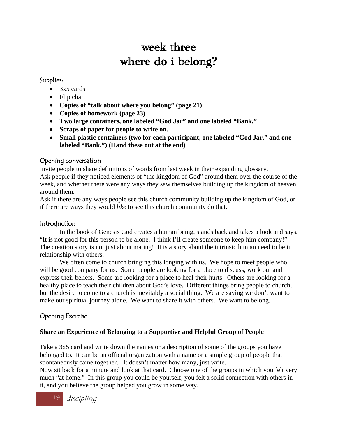# week three where do i belong?

### Supplies:

- $\bullet$  3x5 cards
- Flip chart
- **Copies of "talk about where you belong" (page 21)**
- **Copies of homework (page 23)**
- **Two large containers, one labeled "God Jar" and one labeled "Bank."**
- **Scraps of paper for people to write on.**
- **Small plastic containers (two for each participant, one labeled "God Jar," and one labeled "Bank.") (Hand these out at the end)**

## Opening conversation

Invite people to share definitions of words from last week in their expanding glossary.

Ask people if they noticed elements of "the kingdom of God" around them over the course of the week, and whether there were any ways they saw themselves building up the kingdom of heaven around them.

Ask if there are any ways people see this church community building up the kingdom of God, or if there are ways they would *like* to see this church community do that.

## Introduction

In the book of Genesis God creates a human being, stands back and takes a look and says, "It is not good for this person to be alone. I think I'll create someone to keep him company!" The creation story is not just about mating! It is a story about the intrinsic human need to be in relationship with others.

We often come to church bringing this longing with us. We hope to meet people who will be good company for us. Some people are looking for a place to discuss, work out and express their beliefs. Some are looking for a place to heal their hurts. Others are looking for a healthy place to teach their children about God's love. Different things bring people to church, but the desire to come to a church is inevitably a social thing. We are saying we don't want to make our spiritual journey alone. We want to share it with others. We want to belong.

# Opening Exercise

## **Share an Experience of Belonging to a Supportive and Helpful Group of People**

Take a 3x5 card and write down the names or a description of some of the groups you have belonged to. It can be an official organization with a name or a simple group of people that spontaneously came together. It doesn't matter how many, just write.

Now sit back for a minute and look at that card. Choose one of the groups in which you felt very much "at home." In this group you could be yourself, you felt a solid connection with others in it, and you believe the group helped you grow in some way.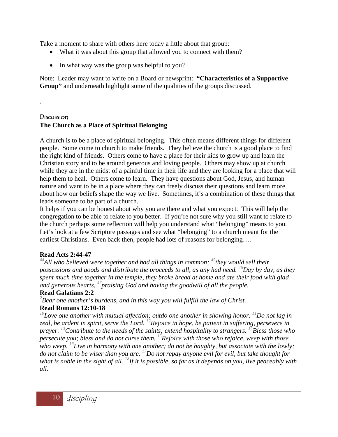Take a moment to share with others here today a little about that group:

- What it was about this group that allowed you to connect with them?
- In what way was the group was helpful to you?

Note: Leader may want to write on a Board or newsprint: **"Characteristics of a Supportive**  Group" and underneath highlight some of the qualities of the groups discussed.

### Discussion **The Church as a Place of Spiritual Belonging**

A church is to be a place of spiritual belonging. This often means different things for different people. Some come to church to make friends. They believe the church is a good place to find the right kind of friends. Others come to have a place for their kids to grow up and learn the Christian story and to be around generous and loving people. Others may show up at church while they are in the midst of a painful time in their life and they are looking for a place that will help them to heal. Others come to learn. They have questions about God, Jesus, and human nature and want to be in a place where they can freely discuss their questions and learn more about how our beliefs shape the way we live. Sometimes, it's a combination of these things that leads someone to be part of a church.

It helps if you can be honest about why you are there and what you expect. This will help the congregation to be able to relate to you better. If you're not sure why you still want to relate to the church perhaps some reflection will help you understand what "belonging" means to you. Let's look at a few Scripture passages and see what "belonging" to a church meant for the earliest Christians. Even back then, people had lots of reasons for belonging….

## **Read Acts 2:44-47**

.

<sup>44</sup>All who believed were together and had all things in common; <sup>45</sup>they would sell their *possessions and goods and distribute the proceeds to all, as any had need. 46Day by day, as they spent much time together in the temple, they broke bread at home and ate their food with glad and generous hearts, 47praising God and having the goodwill of all the people.* **Read Galatians 2:2**

*2 Bear one another's burdens, and in this way you will fulfill the law of Christ.*

## **Read Romans 12:10-18**

 $10<sup>10</sup>$  Love one another with mutual affection; outdo one another in showing honor.  $11$  Do not lag in *zeal, be ardent in spirit, serve the Lord. 12Rejoice in hope, be patient in suffering, persevere in*  prayer. <sup>13</sup> Contribute to the needs of the saints; extend hospitality to strangers. <sup>14</sup> Bless those who *persecute you; bless and do not curse them.* <sup>15</sup>Rejoice with those who rejoice, weep with those *who weep. 16Live in harmony with one another; do not be haughty, but associate with the lowly; do not claim to be wiser than you are. 17Do not repay anyone evil for evil, but take thought for what is noble in the sight of all. 18If it is possible, so far as it depends on you, live peaceably with all.*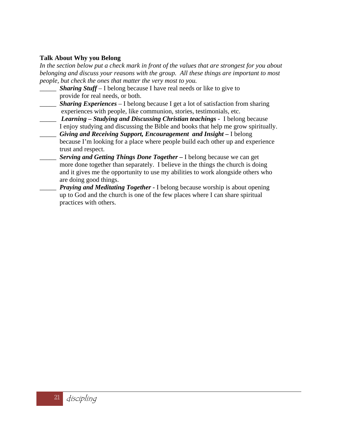#### **Talk About Why you Belong**

*In the section below put a check mark in front of the values that are strongest for you about belonging and discuss your reasons with the group. All these things are important to most people, but check the ones that matter the very most to you.* 

- \_\_\_\_\_ *Sharing Stuff* I belong because I have real needs or like to give to provide for real needs, or both.
- \_\_\_\_\_ *Sharing Experiences* I belong because I get a lot of satisfaction from sharing experiences with people, like communion, stories, testimonials, etc.
	- \_\_\_\_\_ *Learning – Studying and Discussing Christian teachings -* I belong because I enjoy studying and discussing the Bible and books that help me grow spiritually. \_\_\_\_\_ *Giving and Receiving Support, Encouragement and Insight –* I belong
- because I'm looking for a place where people build each other up and experience trust and respect.
- **Serving and Getting Things Done Together I belong because we can get** more done together than separately. I believe in the things the church is doing and it gives me the opportunity to use my abilities to work alongside others who are doing good things.
- *Praying and Meditating Together -* I belong because worship is about opening up to God and the church is one of the few places where I can share spiritual practices with others.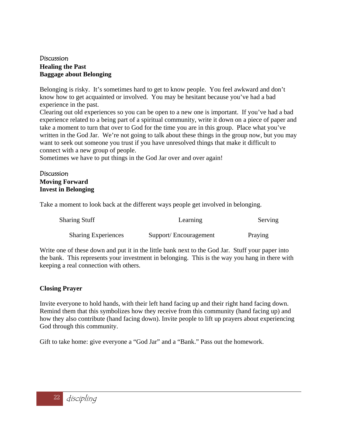#### Discussion **Healing the Past Baggage about Belonging**

Belonging is risky. It's sometimes hard to get to know people. You feel awkward and don't know how to get acquainted or involved. You may be hesitant because you've had a bad experience in the past.

Clearing out old experiences so you can be open to a new one is important. If you've had a bad experience related to a being part of a spiritual community, write it down on a piece of paper and take a moment to turn that over to God for the time you are in this group. Place what you've written in the God Jar. We're not going to talk about these things in the group now, but you may want to seek out someone you trust if you have unresolved things that make it difficult to connect with a new group of people.

Sometimes we have to put things in the God Jar over and over again!

#### Discussion **Moving Forward Invest in Belonging**

Take a moment to look back at the different ways people get involved in belonging.

| <b>Sharing Stuff</b>       | Learning              | Serving |
|----------------------------|-----------------------|---------|
| <b>Sharing Experiences</b> | Support/Encouragement | Praying |

Write one of these down and put it in the little bank next to the God Jar. Stuff your paper into the bank. This represents your investment in belonging. This is the way you hang in there with keeping a real connection with others.

## **Closing Prayer**

Invite everyone to hold hands, with their left hand facing up and their right hand facing down. Remind them that this symbolizes how they receive from this community (hand facing up) and how they also contribute (hand facing down). Invite people to lift up prayers about experiencing God through this community.

Gift to take home: give everyone a "God Jar" and a "Bank." Pass out the homework.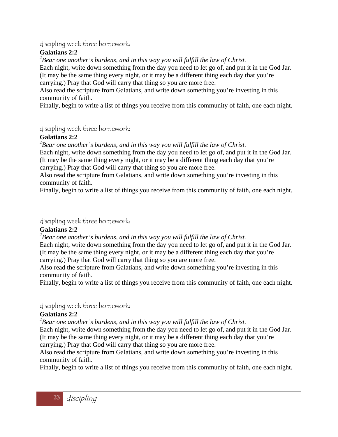discipling week three homework:

### **Galatians 2:2**

*2 Bear one another's burdens, and in this way you will fulfill the law of Christ.*

Each night, write down something from the day you need to let go of, and put it in the God Jar. (It may be the same thing every night, or it may be a different thing each day that you're carrying.) Pray that God will carry that thing so you are more free.

Also read the scripture from Galatians, and write down something you're investing in this community of faith.

Finally, begin to write a list of things you receive from this community of faith, one each night.

## discipling week three homework:

## **Galatians 2:2**

*2 Bear one another's burdens, and in this way you will fulfill the law of Christ.*

Each night, write down something from the day you need to let go of, and put it in the God Jar. (It may be the same thing every night, or it may be a different thing each day that you're carrying.) Pray that God will carry that thing so you are more free.

Also read the scripture from Galatians, and write down something you're investing in this community of faith.

Finally, begin to write a list of things you receive from this community of faith, one each night.

discipling week three homework:

## **Galatians 2:2**

*2 Bear one another's burdens, and in this way you will fulfill the law of Christ.*

Each night, write down something from the day you need to let go of, and put it in the God Jar. (It may be the same thing every night, or it may be a different thing each day that you're carrying.) Pray that God will carry that thing so you are more free.

Also read the scripture from Galatians, and write down something you're investing in this community of faith.

Finally, begin to write a list of things you receive from this community of faith, one each night.

discipling week three homework:

## **Galatians 2:2**

*2 Bear one another's burdens, and in this way you will fulfill the law of Christ.*

Each night, write down something from the day you need to let go of, and put it in the God Jar. (It may be the same thing every night, or it may be a different thing each day that you're carrying.) Pray that God will carry that thing so you are more free.

Also read the scripture from Galatians, and write down something you're investing in this community of faith.

Finally, begin to write a list of things you receive from this community of faith, one each night.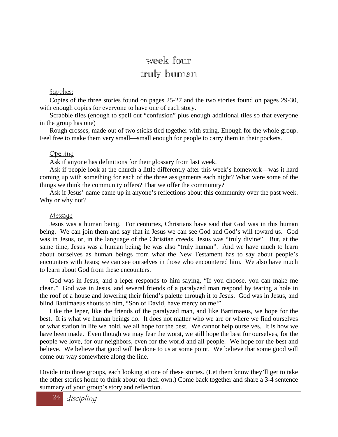# week four truly human

#### Supplies:

Copies of the three stories found on pages 25-27 and the two stories found on pages 29-30, with enough copies for everyone to have one of each story.

Scrabble tiles (enough to spell out "confusion" plus enough additional tiles so that everyone in the group has one)

Rough crosses, made out of two sticks tied together with string. Enough for the whole group. Feel free to make them very small—small enough for people to carry them in their pockets.

#### **Opening**

Ask if anyone has definitions for their glossary from last week.

Ask if people look at the church a little differently after this week's homework—was it hard coming up with something for each of the three assignments each night? What were some of the things we think the community offers? That we offer the community?

Ask if Jesus' name came up in anyone's reflections about this community over the past week. Why or why not?

#### Message

Jesus was a human being. For centuries, Christians have said that God was in this human being. We can join them and say that in Jesus we can see God and God's will toward us. God was in Jesus, or, in the language of the Christian creeds, Jesus was "truly divine". But, at the same time, Jesus was a human being; he was also "truly human". And we have much to learn about ourselves as human beings from what the New Testament has to say about people's encounters with Jesus; we can see ourselves in those who encountered him. We also have much to learn about God from these encounters.

God was in Jesus, and a leper responds to him saying, "If you choose, you can make me clean." God was in Jesus, and several friends of a paralyzed man respond by tearing a hole in the roof of a house and lowering their friend's palette through it to Jesus. God was in Jesus, and blind Bartimaeus shouts to him, "Son of David, have mercy on me!"

Like the leper, like the friends of the paralyzed man, and like Bartimaeus, we hope for the best. It is what we human beings do. It does not matter who we are or where we find ourselves or what station in life we hold, we all hope for the best. We cannot help ourselves. It is how we have been made. Even though we may fear the worst, we still hope the best for ourselves, for the people we love, for our neighbors, even for the world and all people. We hope for the best and believe. We believe that good will be done to us at some point. We believe that some good will come our way somewhere along the line.

Divide into three groups, each looking at one of these stories. (Let them know they'll get to take the other stories home to think about on their own.) Come back together and share a 3-4 sentence summary of your group's story and reflection.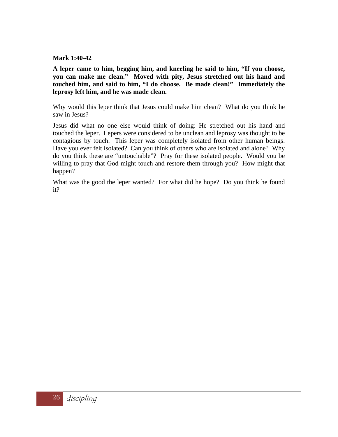**Mark 1:40-42**

**A leper came to him, begging him, and kneeling he said to him, "If you choose, you can make me clean." Moved with pity, Jesus stretched out his hand and touched him, and said to him, "I do choose. Be made clean!" Immediately the leprosy left him, and he was made clean.**

Why would this leper think that Jesus could make him clean? What do you think he saw in Jesus?

Jesus did what no one else would think of doing: He stretched out his hand and touched the leper. Lepers were considered to be unclean and leprosy was thought to be contagious by touch. This leper was completely isolated from other human beings. Have you ever felt isolated? Can you think of others who are isolated and alone? Why do you think these are "untouchable"? Pray for these isolated people. Would you be willing to pray that God might touch and restore them through you? How might that happen?

What was the good the leper wanted? For what did he hope? Do you think he found it?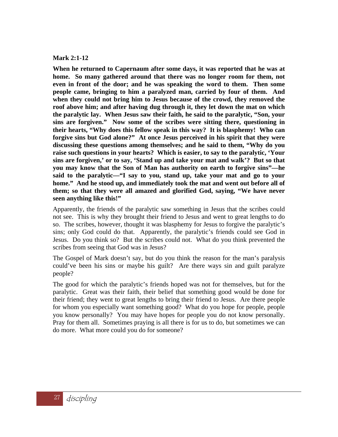#### **Mark 2:1-12**

**When he returned to Capernaum after some days, it was reported that he was at home. So many gathered around that there was no longer room for them, not even in front of the door; and he was speaking the word to them. Then some people came, bringing to him a paralyzed man, carried by four of them. And when they could not bring him to Jesus because of the crowd, they removed the roof above him; and after having dug through it, they let down the mat on which the paralytic lay. When Jesus saw their faith, he said to the paralytic, "Son, your sins are forgiven." Now some of the scribes were sitting there, questioning in their hearts, "Why does this fellow speak in this way? It is blasphemy! Who can forgive sins but God alone?" At once Jesus perceived in his spirit that they were discussing these questions among themselves; and he said to them, "Why do you raise such questions in your hearts? Which is easier, to say to the paralytic, 'Your sins are forgiven,' or to say, 'Stand up and take your mat and walk'? But so that you may know that the Son of Man has authority on earth to forgive sins"—he said to the paralytic—"I say to you, stand up, take your mat and go to your home." And he stood up, and immediately took the mat and went out before all of them; so that they were all amazed and glorified God, saying, "We have never seen anything like this!"**

Apparently, the friends of the paralytic saw something in Jesus that the scribes could not see. This is why they brought their friend to Jesus and went to great lengths to do so. The scribes, however, thought it was blasphemy for Jesus to forgive the paralytic's sins; only God could do that. Apparently, the paralytic's friends could see God in Jesus. Do you think so? But the scribes could not. What do you think prevented the scribes from seeing that God was in Jesus?

The Gospel of Mark doesn't say, but do you think the reason for the man's paralysis could've been his sins or maybe his guilt? Are there ways sin and guilt paralyze people?

The good for which the paralytic's friends hoped was not for themselves, but for the paralytic. Great was their faith, their belief that something good would be done for their friend; they went to great lengths to bring their friend to Jesus. Are there people for whom you especially want something good? What do you hope for people, people you know personally? You may have hopes for people you do not know personally. Pray for them all. Sometimes praying is all there is for us to do, but sometimes we can do more. What more could you do for someone?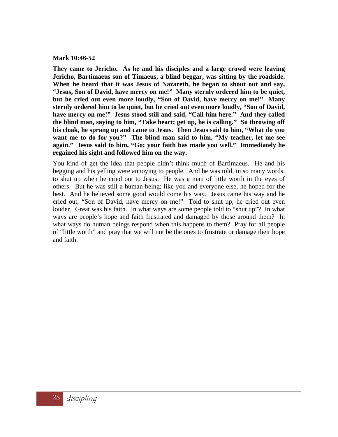**Mark 10:46-52**

**They came to Jericho. As he and his disciples and a large crowd were leaving Jericho, Bartimaeus son of Timaeus, a blind beggar, was sitting by the roadside. When he heard that it was Jesus of Nazareth, he began to shout out and say, "Jesus, Son of David, have mercy on me!" Many sternly ordered him to be quiet, but he cried out even more loudly, "Son of David, have mercy on me!" Many sternly ordered him to be quiet, but he cried out even more loudly, "Son of David, have mercy on me!" Jesus stood still and said, "Call him here." And they called the blind man, saying to him, "Take heart; get up, he is calling." So throwing off his cloak, he sprang up and came to Jesus. Then Jesus said to him, "What do you want me to do for you?" The blind man said to him, "My teacher, let me see again." Jesus said to him, "Go; your faith has made you well." Immediately he regained his sight and followed him on the way.**

You kind of get the idea that people didn't think much of Bartimaeus. He and his begging and his yelling were annoying to people. And he was told, in so many words, to shut up when he cried out to Jesus. He was a man of little worth in the eyes of others. But he was still a human being; like you and everyone else, he hoped for the best. And he believed some good would come his way. Jesus came his way and he cried out, "Son of David, have mercy on me!" Told to shut up, he cried out even louder. Great was his faith. In what ways are some people told to "shut up"? In what ways are people's hope and faith frustrated and damaged by those around them? In what ways do human beings respond when this happens to them? Pray for all people of "little worth" and pray that we will not be the ones to frustrate or damage their hope and faith.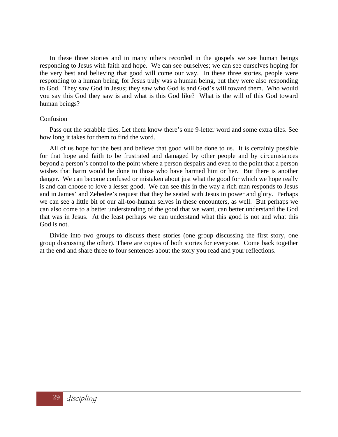In these three stories and in many others recorded in the gospels we see human beings responding to Jesus with faith and hope. We can see ourselves; we can see ourselves hoping for the very best and believing that good will come our way. In these three stories, people were responding to a human being, for Jesus truly was a human being, but they were also responding to God. They saw God in Jesus; they saw who God is and God's will toward them. Who would you say this God they saw is and what is this God like? What is the will of this God toward human beings?

#### Confusion

Pass out the scrabble tiles. Let them know there's one 9-letter word and some extra tiles. See how long it takes for them to find the word.

All of us hope for the best and believe that good will be done to us. It is certainly possible for that hope and faith to be frustrated and damaged by other people and by circumstances beyond a person's control to the point where a person despairs and even to the point that a person wishes that harm would be done to those who have harmed him or her. But there is another danger. We can become confused or mistaken about just what the good for which we hope really is and can choose to love a lesser good. We can see this in the way a rich man responds to Jesus and in James' and Zebedee's request that they be seated with Jesus in power and glory. Perhaps we can see a little bit of our all-too-human selves in these encounters, as well. But perhaps we can also come to a better understanding of the good that we want, can better understand the God that was in Jesus. At the least perhaps we can understand what this good is not and what this God is not.

Divide into two groups to discuss these stories (one group discussing the first story, one group discussing the other). There are copies of both stories for everyone. Come back together at the end and share three to four sentences about the story you read and your reflections.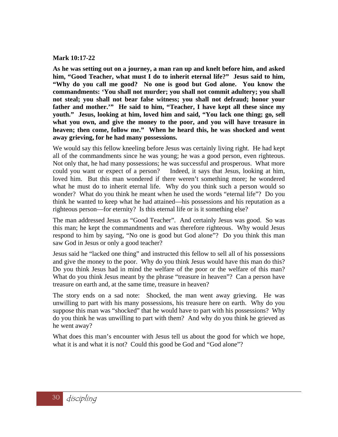#### **Mark 10:17-22**

**As he was setting out on a journey, a man ran up and knelt before him, and asked him, "Good Teacher, what must I do to inherit eternal life?" Jesus said to him, "Why do you call me good? No one is good but God alone. You know the commandments: 'You shall not murder; you shall not commit adultery; you shall not steal; you shall not bear false witness; you shall not defraud; honor your**  father and mother."<sup>3</sup> He said to him, "Teacher, I have kept all these since my **youth." Jesus, looking at him, loved him and said, "You lack one thing; go, sell what you own, and give the money to the poor, and you will have treasure in heaven; then come, follow me." When he heard this, he was shocked and went away grieving, for he had many possessions.**

We would say this fellow kneeling before Jesus was certainly living right. He had kept all of the commandments since he was young; he was a good person, even righteous. Not only that, he had many possessions; he was successful and prosperous. What more could you want or expect of a person? Indeed, it says that Jesus, looking at him, loved him. But this man wondered if there weren't something more; he wondered what he must do to inherit eternal life. Why do you think such a person would so wonder? What do you think he meant when he used the words "eternal life"? Do you think he wanted to keep what he had attained—his possessions and his reputation as a righteous person—for eternity? Is this eternal life or is it something else?

The man addressed Jesus as "Good Teacher". And certainly Jesus was good. So was this man; he kept the commandments and was therefore righteous. Why would Jesus respond to him by saying, "No one is good but God alone"? Do you think this man saw God in Jesus or only a good teacher?

Jesus said he "lacked one thing" and instructed this fellow to sell all of his possessions and give the money to the poor. Why do you think Jesus would have this man do this? Do you think Jesus had in mind the welfare of the poor or the welfare of this man? What do you think Jesus meant by the phrase "treasure in heaven"? Can a person have treasure on earth and, at the same time, treasure in heaven?

The story ends on a sad note: Shocked, the man went away grieving. He was unwilling to part with his many possessions, his treasure here on earth. Why do you suppose this man was "shocked" that he would have to part with his possessions? Why do you think he was unwilling to part with them? And why do you think he grieved as he went away?

What does this man's encounter with Jesus tell us about the good for which we hope, what it is and what it is not? Could this good be God and "God alone"?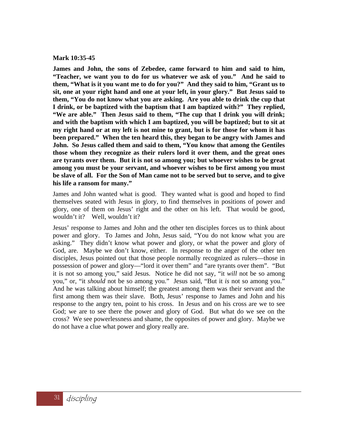#### **Mark 10:35-45**

**James and John, the sons of Zebedee, came forward to him and said to him, "Teacher, we want you to do for us whatever we ask of you." And he said to them, "What is it you want me to do for you?" And they said to him, "Grant us to sit, one at your right hand and one at your left, in your glory." But Jesus said to them, "You do not know what you are asking. Are you able to drink the cup that I drink, or be baptized with the baptism that I am baptized with?" They replied, "We are able." Then Jesus said to them, "The cup that I drink you will drink; and with the baptism with which I am baptized, you will be baptized; but to sit at my right hand or at my left is not mine to grant, but is for those for whom it has been prepared." When the ten heard this, they began to be angry with James and John. So Jesus called them and said to them, "You know that among the Gentiles those whom they recognize as their rulers lord it over them, and the great ones are tyrants over them. But it is not so among you; but whoever wishes to be great among you must be your servant, and whoever wishes to be first among you must be slave of all. For the Son of Man came not to be served but to serve, and to give his life a ransom for many."**

James and John wanted what is good. They wanted what is good and hoped to find themselves seated with Jesus in glory, to find themselves in positions of power and glory, one of them on Jesus' right and the other on his left. That would be good, wouldn't it? Well, wouldn't it?

Jesus' response to James and John and the other ten disciples forces us to think about power and glory. To James and John, Jesus said, "You do not know what you are asking." They didn't know what power and glory, or what the power and glory of God, are. Maybe we don't know, either. In response to the anger of the other ten disciples, Jesus pointed out that those people normally recognized as rulers—those in possession of power and glory—"lord it over them" and "are tyrants over them". "But it is not so among you," said Jesus. Notice he did not say, "it *will* not be so among you," or, "it *should* not be so among you." Jesus said, "But it *is* not so among you." And he was talking about himself; the greatest among them was their servant and the first among them was their slave. Both, Jesus' response to James and John and his response to the angry ten, point to his cross. In Jesus and on his cross are we to see God; we are to see there the power and glory of God. But what do we see on the cross? We see powerlessness and shame, the opposites of power and glory. Maybe we do not have a clue what power and glory really are.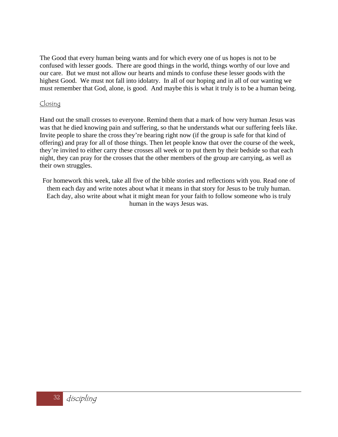The Good that every human being wants and for which every one of us hopes is not to be confused with lesser goods. There are good things in the world, things worthy of our love and our care. But we must not allow our hearts and minds to confuse these lesser goods with the highest Good. We must not fall into idolatry. In all of our hoping and in all of our wanting we must remember that God, alone, is good. And maybe this is what it truly is to be a human being.

### Closing

Hand out the small crosses to everyone. Remind them that a mark of how very human Jesus was was that he died knowing pain and suffering, so that he understands what our suffering feels like. Invite people to share the cross they're bearing right now (if the group is safe for that kind of offering) and pray for all of those things. Then let people know that over the course of the week, they're invited to either carry these crosses all week or to put them by their bedside so that each night, they can pray for the crosses that the other members of the group are carrying, as well as their own struggles.

For homework this week, take all five of the bible stories and reflections with you. Read one of them each day and write notes about what it means in that story for Jesus to be truly human. Each day, also write about what it might mean for your faith to follow someone who is truly human in the ways Jesus was.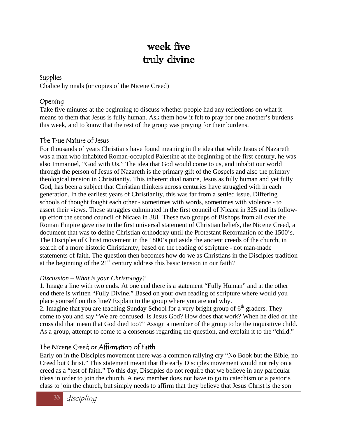# week five truly divine

## **Supplies**

Chalice hymnals (or copies of the Nicene Creed)

## Opening

Take five minutes at the beginning to discuss whether people had any reflections on what it means to them that Jesus is fully human. Ask them how it felt to pray for one another's burdens this week, and to know that the rest of the group was praying for their burdens.

# The True Nature of Jesus

For thousands of years Christians have found meaning in the idea that while Jesus of Nazareth was a man who inhabited Roman-occupied Palestine at the beginning of the first century, he was also Immanuel, "God with Us." The idea that God would come to us, and inhabit our world through the person of Jesus of Nazareth is the primary gift of the Gospels and also the primary theological tension in Christianity. This inherent dual nature, Jesus as fully human and yet fully God, has been a subject that Christian thinkers across centuries have struggled with in each generation. In the earliest years of Christianity, this was far from a settled issue. Differing schools of thought fought each other - sometimes with words, sometimes with violence - to assert their views. These struggles culminated in the first council of Nicaea in 325 and its followup effort the second council of Nicaea in 381. These two groups of Bishops from all over the Roman Empire gave rise to the first universal statement of Christian beliefs, the Nicene Creed, a document that was to define Christian orthodoxy until the Protestant Reformation of the 1500's. The Disciples of Christ movement in the 1800's put aside the ancient creeds of the church, in search of a more historic Christianity, based on the reading of scripture - not man-made statements of faith. The question then becomes how do we as Christians in the Disciples tradition at the beginning of the  $21<sup>st</sup>$  century address this basic tension in our faith?

#### *Discussion – What is your Christology?*

1. Image a line with two ends. At one end there is a statement "Fully Human" and at the other end there is written "Fully Divine." Based on your own reading of scripture where would you place yourself on this line? Explain to the group where you are and why.

2. Imagine that you are teaching Sunday School for a very bright group of  $6<sup>th</sup>$  graders. They come to you and say "We are confused. Is Jesus God? How does that work? When he died on the cross did that mean that God died too?" Assign a member of the group to be the inquisitive child. As a group, attempt to come to a consensus regarding the question, and explain it to the "child."

# The Nicene Creed or Affirmation of Faith

Early on in the Disciples movement there was a common rallying cry "No Book but the Bible, no Creed but Christ." This statement meant that the early Disciples movement would not rely on a creed as a "test of faith." To this day, Disciples do not require that we believe in any particular ideas in order to join the church. A new member does not have to go to catechism or a pastor's class to join the church, but simply needs to affirm that they believe that Jesus Christ is the son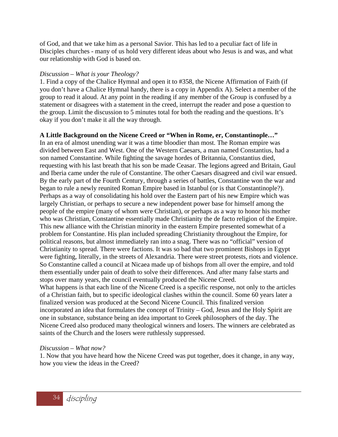of God, and that we take him as a personal Savior. This has led to a peculiar fact of life in Disciples churches - many of us hold very different ideas about who Jesus is and was, and what our relationship with God is based on.

#### *Discussion – What is your Theology?*

1. Find a copy of the Chalice Hymnal and open it to #358, the Nicene Affirmation of Faith (if you don't have a Chalice Hymnal handy, there is a copy in Appendix A). Select a member of the group to read it aloud. At any point in the reading if any member of the Group is confused by a statement or disagrees with a statement in the creed, interrupt the reader and pose a question to the group. Limit the discussion to 5 minutes total for both the reading and the questions. It's okay if you don't make it all the way through.

### **A Little Background on the Nicene Creed or "When in Rome, er, Constantinople…"**

In an era of almost unending war it was a time bloodier than most. The Roman empire was divided between East and West. One of the Western Caesars, a man named Constantius, had a son named Constantine. While fighting the savage hordes of Britannia, Constantius died, requesting with his last breath that his son be made Ceasar. The legions agreed and Britain, Gaul and Iberia came under the rule of Constantine. The other Caesars disagreed and civil war ensued. By the early part of the Fourth Century, through a series of battles, Constantine won the war and began to rule a newly reunited Roman Empire based in Istanbul (or is that Constantinople?). Perhaps as a way of consolidating his hold over the Eastern part of his new Empire which was largely Christian, or perhaps to secure a new independent power base for himself among the people of the empire (many of whom were Christian), or perhaps as a way to honor his mother who was Christian, Constantine essentially made Christianity the de facto religion of the Empire. This new alliance with the Christian minority in the eastern Empire presented somewhat of a problem for Constantine. His plan included spreading Christianity throughout the Empire, for political reasons, but almost immediately ran into a snag. There was no "official" version of Christianity to spread. There were factions. It was so bad that two prominent Bishops in Egypt were fighting, literally, in the streets of Alexandria. There were street protests, riots and violence. So Constantine called a council at Nicaea made up of bishops from all over the empire, and told them essentially under pain of death to solve their differences. And after many false starts and stops over many years, the council eventually produced the Nicene Creed. What happens is that each line of the Nicene Creed is a specific response, not only to the articles

of a Christian faith, but to specific ideological clashes within the council. Some 60 years later a finalized version was produced at the Second Nicene Council. This finalized version incorporated an idea that formulates the concept of Trinity – God, Jesus and the Holy Spirit are one in substance, substance being an idea important to Greek philosophers of the day. The Nicene Creed also produced many theological winners and losers. The winners are celebrated as saints of the Church and the losers were ruthlessly suppressed.

#### *Discussion – What now?*

1. Now that you have heard how the Nicene Creed was put together, does it change, in any way, how you view the ideas in the Creed?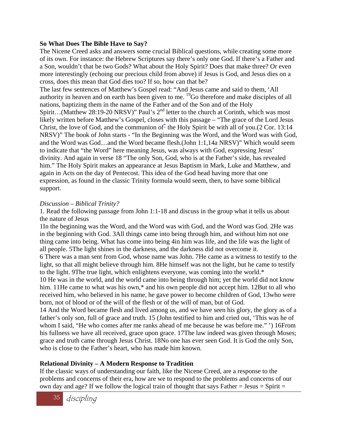#### **So What Does The Bible Have to Say?**

The Nicene Creed asks and answers some crucial Biblical questions, while creating some more of its own. For instance: the Hebrew Scriptures say there's only one God. If there's a Father and a Son, wouldn't that be two Gods? What about the Holy Spirit? Does that make three? Or even more interestingly (echoing our precious child from above) if Jesus is God, and Jesus dies on a cross, does this mean that God dies too? If so, how can that be?

The last few sentences of Matthew's Gospel read: "And Jesus came and said to them, 'All authority in heaven and on earth has been given to me. 19Go therefore and make disciples of all nations, baptizing them in the name of the Father and of the Son and of the Holy Spirit...(Matthew 28:19-20 NRSV)" Paul's 2<sup>nd</sup> letter to the church at Corinth, which was most likely written before Matthew's Gospel, closes with this passage – "The grace of the Lord Jesus Christ, the love of God, and the communion of the Holy Spirit be with all of you.(2 Cor. 13:14 NRSV)" The book of John starts - "In the Beginning was the Word, and the Word was with God, and the Word was God…and the Word became flesh.(John 1:1,14a NRSV)" Which would seem to indicate that "the Word" here meaning Jesus, was always with God, expressing Jesus' divinity. And again in verse 18 "The only Son, God, who is at the Father's side, has revealed him." The Holy Spirit makes an appearance at Jesus Baptism in Mark, Luke and Matthew, and again in Acts on the day of Pentecost. This idea of the God head having more that one expression, as found in the classic Trinity formula would seem, then, to have some biblical support.

#### *Discussion – Biblical Trinity?*

1. Read the following passage from John 1:1-18 and discuss in the group what it tells us about the nature of Jesus

1In the beginning was the Word, and the Word was with God, and the Word was God. 2He was in the beginning with God. 3All things came into being through him, and without him not one thing came into being. What has come into being 4in him was life, and the life was the light of all people. 5The light shines in the darkness, and the darkness did not overcome it.

6 There was a man sent from God, whose name was John. 7He came as a witness to testify to the light, so that all might believe through him. 8He himself was not the light, but he came to testify to the light. 9The true light, which enlightens everyone, was coming into the world.\*

10 He was in the world, and the world came into being through him; yet the world did not know him. 11He came to what was his own,<sup>\*</sup> and his own people did not accept him. 12But to all who received him, who believed in his name, he gave power to become children of God, 13who were born, not of blood or of the will of the flesh or of the will of man, but of God.

14 And the Word became flesh and lived among us, and we have seen his glory, the glory as of a father's only son, full of grace and truth. 15 (John testified to him and cried out, 'This was he of whom I said, "He who comes after me ranks ahead of me because he was before me." ') 16From his fullness we have all received, grace upon grace. 17The law indeed was given through Moses; grace and truth came through Jesus Christ. 18No one has ever seen God. It is God the only Son, who is close to the Father's heart, who has made him known.

#### **Relational Divinity – A Modern Response to Tradition**

If the classic ways of understanding our faith, like the Nicene Creed, are a response to the problems and concerns of their era, how are we to respond to the problems and concerns of our own day and age? If we follow the logical train of thought that says Father  $=$  Jesus  $=$  Spirit  $=$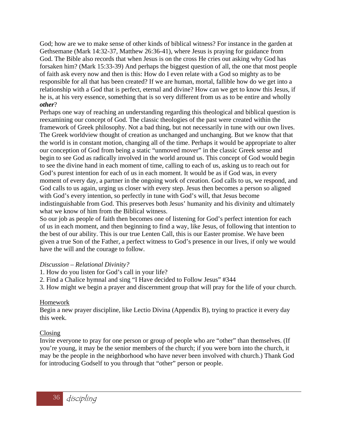God; how are we to make sense of other kinds of biblical witness? For instance in the garden at Gethsemane (Mark 14:32-37, Matthew 26:36-41), where Jesus is praying for guidance from God. The Bible also records that when Jesus is on the cross He cries out asking why God has forsaken him? (Mark 15:33-39) And perhaps the biggest question of all, the one that most people of faith ask every now and then is this: How do I even relate with a God so mighty as to be responsible for all that has been created? If we are human, mortal, fallible how do we get into a relationship with a God that is perfect, eternal and divine? How can we get to know this Jesus, if he is, at his very essence, something that is so very different from us as to be entire and wholly *other*?

Perhaps one way of reaching an understanding regarding this theological and biblical question is reexamining our concept of God. The classic theologies of the past were created within the framework of Greek philosophy. Not a bad thing, but not necessarily in tune with our own lives. The Greek worldview thought of creation as unchanged and unchanging. But we know that that the world is in constant motion, changing all of the time. Perhaps it would be appropriate to alter our conception of God from being a static "unmoved mover" in the classic Greek sense and begin to see God as radically involved in the world around us. This concept of God would begin to see the divine hand in each moment of time, calling to each of us, asking us to reach out for God's purest intention for each of us in each moment. It would be as if God was, in every moment of every day, a partner in the ongoing work of creation. God calls to us, we respond, and God calls to us again, urging us closer with every step. Jesus then becomes a person so aligned with God's every intention, so perfectly in tune with God's will, that Jesus become indistinguishable from God. This preserves both Jesus' humanity and his divinity and ultimately what we know of him from the Biblical witness.

So our job as people of faith then becomes one of listening for God's perfect intention for each of us in each moment, and then beginning to find a way, like Jesus, of following that intention to the best of our ability. This is our true Lenten Call, this is our Easter promise. We have been given a true Son of the Father, a perfect witness to God's presence in our lives, if only we would have the will and the courage to follow.

#### *Discussion – Relational Divinity?*

- 1. How do you listen for God's call in your life?
- 2. Find a Chalice hymnal and sing "I Have decided to Follow Jesus" #344
- 3. How might we begin a prayer and discernment group that will pray for the life of your church.

#### Homework

Begin a new prayer discipline, like Lectio Divina (Appendix B), trying to practice it every day this week.

#### Closing

Invite everyone to pray for one person or group of people who are "other" than themselves. (If you're young, it may be the senior members of the church; if you were born into the church, it may be the people in the neighborhood who have never been involved with church.) Thank God for introducing Godself to you through that "other" person or people.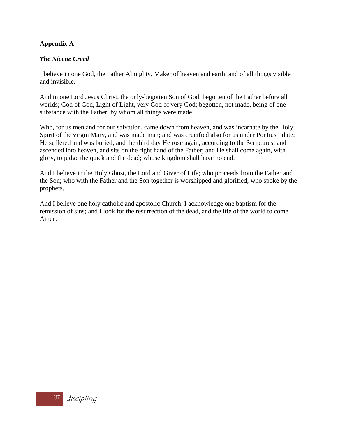#### **Appendix A**

### *The Nicene Creed*

I believe in one God, the Father Almighty, Maker of heaven and earth, and of all things visible and invisible.

And in one Lord Jesus Christ, the only-begotten Son of God, begotten of the Father before all worlds; God of God, Light of Light, very God of very God; begotten, not made, being of one substance with the Father, by whom all things were made.

Who, for us men and for our salvation, came down from heaven, and was incarnate by the Holy Spirit of the virgin Mary, and was made man; and was crucified also for us under Pontius Pilate; He suffered and was buried; and the third day He rose again, according to the Scriptures; and ascended into heaven, and sits on the right hand of the Father; and He shall come again, with glory, to judge the quick and the dead; whose kingdom shall have no end.

And I believe in the Holy Ghost, the Lord and Giver of Life; who proceeds from the Father and the Son; who with the Father and the Son together is worshipped and glorified; who spoke by the prophets.

And I believe one holy catholic and apostolic Church. I acknowledge one baptism for the remission of sins; and I look for the resurrection of the dead, and the life of the world to come. Amen.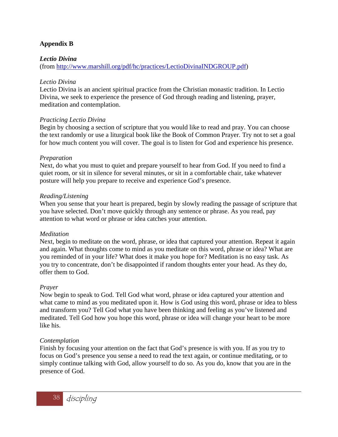#### **Appendix B**

#### *Lectio Divina*

(from [http://www.marshill.org/pdf/hc/practices/LectioDivinaINDGROUP.pdf\)](http://www.marshill.org/pdf/hc/practices/LectioDivinaINDGROUP.pdf)

#### *Lectio Divina*

Lectio Divina is an ancient spiritual practice from the Christian monastic tradition. In Lectio Divina, we seek to experience the presence of God through reading and listening, prayer, meditation and contemplation.

#### *Practicing Lectio Divina*

Begin by choosing a section of scripture that you would like to read and pray. You can choose the text randomly or use a liturgical book like the Book of Common Prayer. Try not to set a goal for how much content you will cover. The goal is to listen for God and experience his presence.

#### *Preparation*

Next, do what you must to quiet and prepare yourself to hear from God. If you need to find a quiet room, or sit in silence for several minutes, or sit in a comfortable chair, take whatever posture will help you prepare to receive and experience God's presence.

#### *Reading/Listening*

When you sense that your heart is prepared, begin by slowly reading the passage of scripture that you have selected. Don't move quickly through any sentence or phrase. As you read, pay attention to what word or phrase or idea catches your attention.

#### *Meditation*

Next, begin to meditate on the word, phrase, or idea that captured your attention. Repeat it again and again. What thoughts come to mind as you meditate on this word, phrase or idea? What are you reminded of in your life? What does it make you hope for? Meditation is no easy task. As you try to concentrate, don't be disappointed if random thoughts enter your head. As they do, offer them to God.

#### *Prayer*

Now begin to speak to God. Tell God what word, phrase or idea captured your attention and what came to mind as you meditated upon it. How is God using this word, phrase or idea to bless and transform you? Tell God what you have been thinking and feeling as you've listened and meditated. Tell God how you hope this word, phrase or idea will change your heart to be more like his.

#### *Contemplation*

Finish by focusing your attention on the fact that God's presence is with you. If as you try to focus on God's presence you sense a need to read the text again, or continue meditating, or to simply continue talking with God, allow yourself to do so. As you do, know that you are in the presence of God.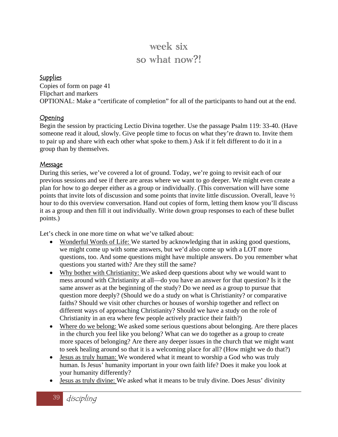# week six so what now?!

### **Supplies**

Copies of form on page 41 Flipchart and markers OPTIONAL: Make a "certificate of completion" for all of the participants to hand out at the end.

## **Opening**

Begin the session by practicing Lectio Divina together. Use the passage Psalm 119: 33-40. (Have someone read it aloud, slowly. Give people time to focus on what they're drawn to. Invite them to pair up and share with each other what spoke to them.) Ask if it felt different to do it in a group than by themselves.

### **Message**

During this series, we've covered a lot of ground. Today, we're going to revisit each of our previous sessions and see if there are areas where we want to go deeper. We might even create a plan for how to go deeper either as a group or individually. (This conversation will have some points that invite lots of discussion and some points that invite little discussion. Overall, leave ½ hour to do this overview conversation. Hand out copies of form, letting them know you'll discuss it as a group and then fill it out individually. Write down group responses to each of these bullet points.)

Let's check in one more time on what we've talked about:

- Wonderful Words of Life: We started by acknowledging that in asking good questions, we might come up with some answers, but we'd also come up with a LOT more questions, too. And some questions might have multiple answers. Do you remember what questions you started with? Are they still the same?
- Why bother with Christianity: We asked deep questions about why we would want to mess around with Christianity at all—do you have an answer for that question? Is it the same answer as at the beginning of the study? Do we need as a group to pursue that question more deeply? (Should we do a study on what is Christianity? or comparative faiths? Should we visit other churches or houses of worship together and reflect on different ways of approaching Christianity? Should we have a study on the role of Christianity in an era where few people actively practice their faith?)
- Where do we belong: We asked some serious questions about belonging. Are there places in the church you feel like you belong? What can we do together as a group to create more spaces of belonging? Are there any deeper issues in the church that we might want to seek healing around so that it is a welcoming place for all? (How might we do that?)
- Jesus as truly human: We wondered what it meant to worship a God who was truly human. Is Jesus' humanity important in your own faith life? Does it make you look at your humanity differently?
- Jesus as truly divine: We asked what it means to be truly divine. Does Jesus' divinity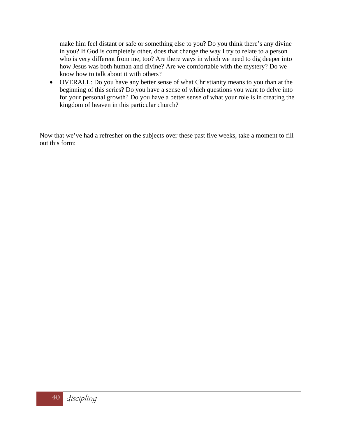make him feel distant or safe or something else to you? Do you think there's any divine in you? If God is completely other, does that change the way I try to relate to a person who is very different from me, too? Are there ways in which we need to dig deeper into how Jesus was both human and divine? Are we comfortable with the mystery? Do we know how to talk about it with others?

• OVERALL: Do you have any better sense of what Christianity means to you than at the beginning of this series? Do you have a sense of which questions you want to delve into for your personal growth? Do you have a better sense of what your role is in creating the kingdom of heaven in this particular church?

Now that we've had a refresher on the subjects over these past five weeks, take a moment to fill out this form: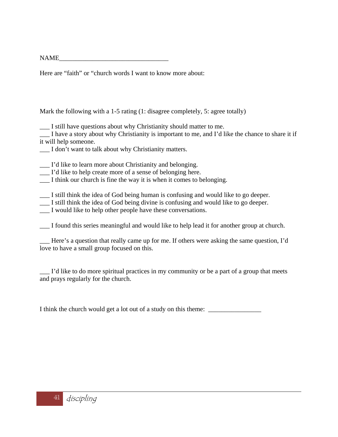NAME

Here are "faith" or "church words I want to know more about:

Mark the following with a 1-5 rating (1: disagree completely, 5: agree totally)

\_\_\_ I still have questions about why Christianity should matter to me.

I have a story about why Christianity is important to me, and I'd like the chance to share it if it will help someone.

\_\_\_ I don't want to talk about why Christianity matters.

\_\_\_ I'd like to learn more about Christianity and belonging.

\_\_\_ I'd like to help create more of a sense of belonging here.

\_\_\_ I think our church is fine the way it is when it comes to belonging.

\_\_\_ I still think the idea of God being human is confusing and would like to go deeper.

\_\_\_ I still think the idea of God being divine is confusing and would like to go deeper.

\_\_\_ I would like to help other people have these conversations.

\_\_\_ I found this series meaningful and would like to help lead it for another group at church.

\_\_\_ Here's a question that really came up for me. If others were asking the same question, I'd love to have a small group focused on this.

\_\_\_ I'd like to do more spiritual practices in my community or be a part of a group that meets and prays regularly for the church.

I think the church would get a lot out of a study on this theme: